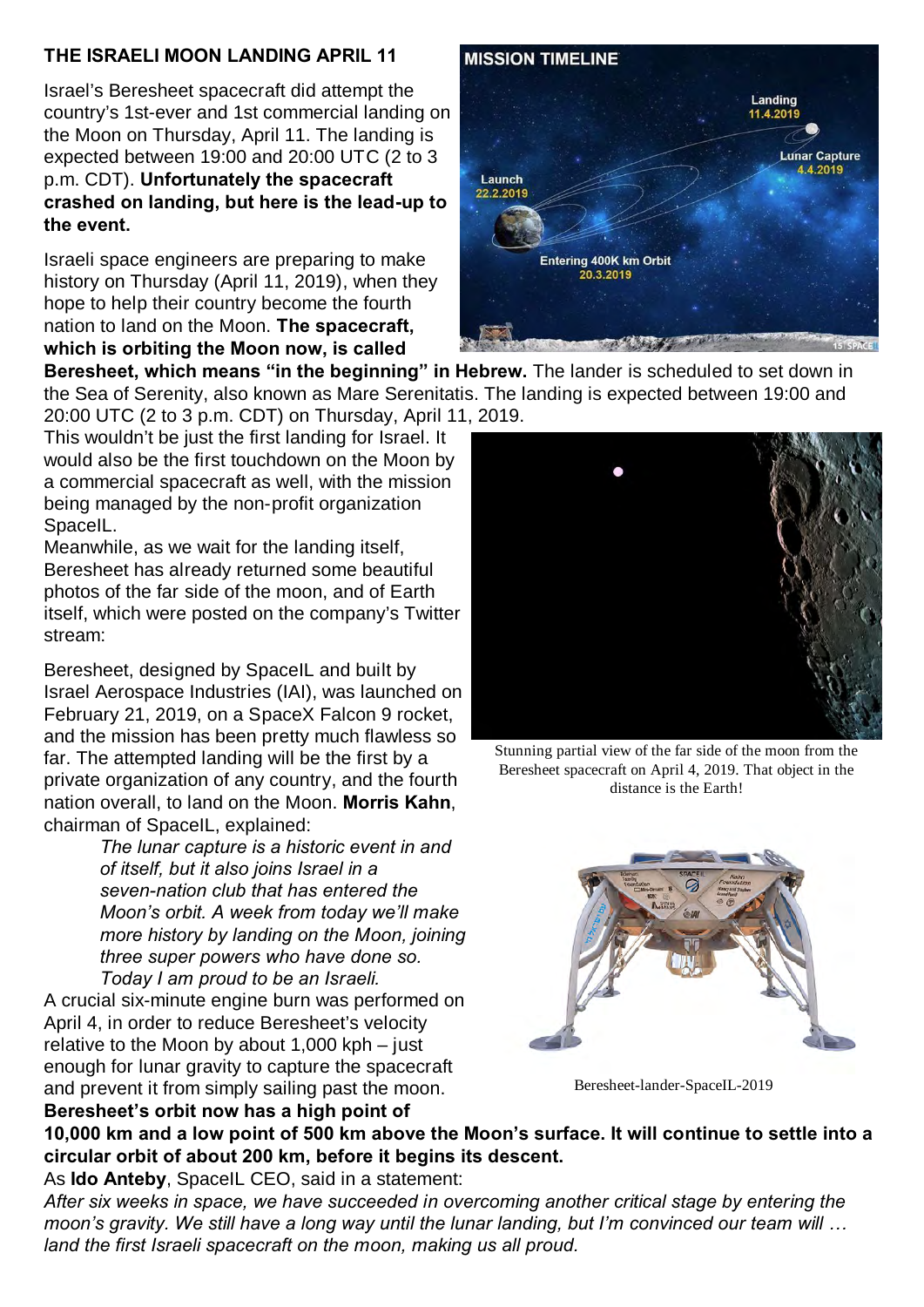## **THE ISRAELI MOON LANDING APRIL 11**

Israel's Beresheet spacecraft did attempt the country's 1st-ever and 1st commercial landing on the Moon on Thursday, April 11. The landing is expected between 19:00 and 20:00 UTC (2 to 3 p.m. CDT). **Unfortunately the spacecraft crashed on landing, but here is the lead-up to the event.**

Israeli space engineers are preparing to make history on Thursday (April 11, 2019), when they hope to help their country become the fourth nation to land on the Moon. **The spacecraft, which is orbiting the Moon now, is called**

**Beresheet, which means "in the beginning" in Hebrew.** The lander is scheduled to set down in the Sea of Serenity, also known as Mare Serenitatis. The landing is expected between 19:00 and 20:00 UTC (2 to 3 p.m. CDT) on Thursday, April 11, 2019.

This wouldn't be just the first landing for Israel. It would also be the first touchdown on the Moon by a commercial spacecraft as well, with the mission being managed by the non-profit organization SpaceIL.

Meanwhile, as we wait for the landing itself, Beresheet has already returned some beautiful photos of the far side of the moon, and of Earth itself, which were posted on the company's Twitter stream:

Beresheet, designed by SpaceIL and built by Israel Aerospace Industries (IAI), was launched on February 21, 2019, on a SpaceX Falcon 9 rocket, and the mission has been pretty much flawless so far. The attempted landing will be the first by a private organization of any country, and the fourth nation overall, to land on the Moon. **Morris Kahn**, chairman of SpaceIL, explained:

> *The lunar capture is a historic event in and of itself, but it also joins Israel in a seven-nation club that has entered the Moon's orbit. A week from today we'll make more history by landing on the Moon, joining three super powers who have done so. Today I am proud to be an Israeli.*

A crucial six-minute engine burn was performed on April 4, in order to reduce Beresheet's velocity relative to the Moon by about 1,000 kph – just enough for lunar gravity to capture the spacecraft and prevent it from simply sailing past the moon. **Beresheet's orbit now has a high point of**







Beresheet-lander-SpaceIL-2019

**10,000 km and a low point of 500 km above the Moon's surface. It will continue to settle into a circular orbit of about 200 km, before it begins its descent.**

As **Ido Anteby**, SpaceIL CEO, said in a statement:

*After six weeks in space, we have succeeded in overcoming another critical stage by entering the moon's gravity. We still have a long way until the lunar landing, but I'm convinced our team will … land the first Israeli spacecraft on the moon, making us all proud.*



Stunning partial view of the far side of the moon from the Beresheet spacecraft on April 4, 2019. That object in the distance is the Earth!